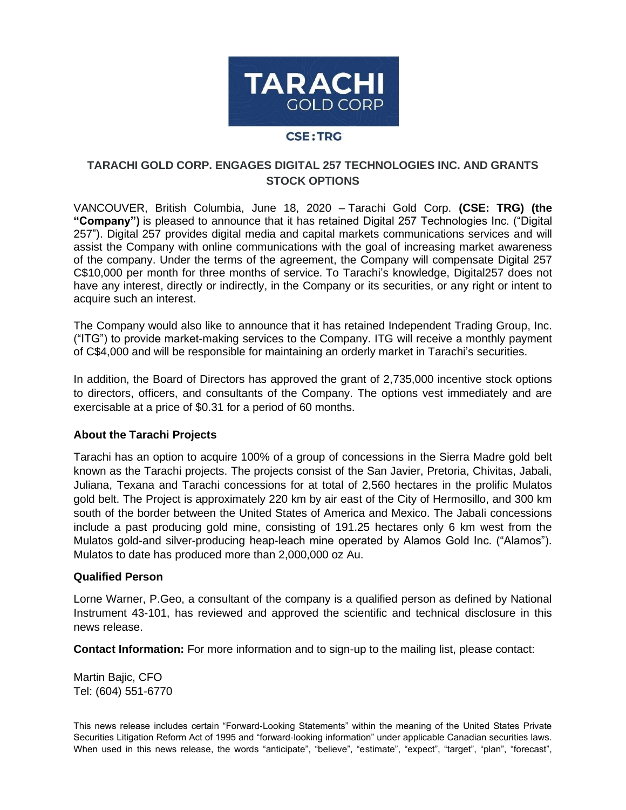

## **TARACHI GOLD CORP. ENGAGES DIGITAL 257 TECHNOLOGIES INC. AND GRANTS STOCK OPTIONS**

VANCOUVER, British Columbia, June 18, 2020 – Tarachi Gold Corp. **(CSE: TRG) (the "Company")** is pleased to announce that it has retained Digital 257 Technologies Inc. ("Digital 257"). Digital 257 provides digital media and capital markets communications services and will assist the Company with online communications with the goal of increasing market awareness of the company. Under the terms of the agreement, the Company will compensate Digital 257 C\$10,000 per month for three months of service. To Tarachi's knowledge, Digital257 does not have any interest, directly or indirectly, in the Company or its securities, or any right or intent to acquire such an interest.

The Company would also like to announce that it has retained Independent Trading Group, Inc. ("ITG") to provide market-making services to the Company. ITG will receive a monthly payment of C\$4,000 and will be responsible for maintaining an orderly market in Tarachi's securities.

In addition, the Board of Directors has approved the grant of 2,735,000 incentive stock options to directors, officers, and consultants of the Company. The options vest immediately and are exercisable at a price of \$0.31 for a period of 60 months.

## **About the Tarachi Projects**

Tarachi has an option to acquire 100% of a group of concessions in the Sierra Madre gold belt known as the Tarachi projects. The projects consist of the San Javier, Pretoria, Chivitas, Jabali, Juliana, Texana and Tarachi concessions for at total of 2,560 hectares in the prolific Mulatos gold belt. The Project is approximately 220 km by air east of the City of Hermosillo, and 300 km south of the border between the United States of America and Mexico. The Jabali concessions include a past producing gold mine, consisting of 191.25 hectares only 6 km west from the Mulatos gold-and silver-producing heap-leach mine operated by Alamos Gold Inc. ("Alamos"). Mulatos to date has produced more than 2,000,000 oz Au.

## **Qualified Person**

Lorne Warner, P.Geo, a consultant of the company is a qualified person as defined by National Instrument 43-101, has reviewed and approved the scientific and technical disclosure in this news release.

**Contact Information:** For more information and to sign-up to the mailing list, please contact:

Martin Bajic, CFO Tel: (604) 551-6770

This news release includes certain "Forward‐Looking Statements" within the meaning of the United States Private Securities Litigation Reform Act of 1995 and "forward‐looking information" under applicable Canadian securities laws. When used in this news release, the words "anticipate", "believe", "estimate", "expect", "target", "plan", "forecast",